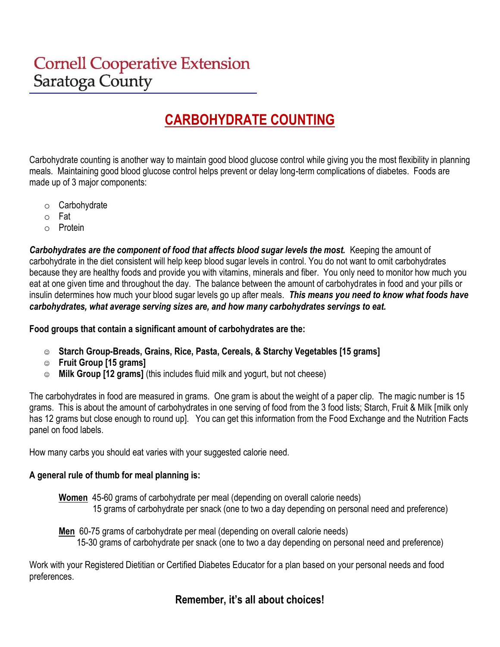# **Cornell Cooperative Extension** Saratoga County

# **CARBOHYDRATE COUNTING**

Carbohydrate counting is another way to maintain good blood glucose control while giving you the most flexibility in planning meals. Maintaining good blood glucose control helps prevent or delay long-term complications of diabetes. Foods are made up of 3 major components:

- o Carbohydrate
- o Fat
- o Protein

*Carbohydrates are the component of food that affects blood sugar levels the most.* Keeping the amount of carbohydrate in the diet consistent will help keep blood sugar levels in control. You do not want to omit carbohydrates because they are healthy foods and provide you with vitamins, minerals and fiber. You only need to monitor how much you eat at one given time and throughout the day. The balance between the amount of carbohydrates in food and your pills or insulin determines how much your blood sugar levels go up after meals. *This means you need to know what foods have carbohydrates, what average serving sizes are, and how many carbohydrates servings to eat.*

#### **Food groups that contain a significant amount of carbohydrates are the:**

- ☺ **Starch Group-Breads, Grains, Rice, Pasta, Cereals, & Starchy Vegetables [15 grams]**
- ☺ **Fruit Group [15 grams]**
- ☺ **Milk Group [12 grams]** (this includes fluid milk and yogurt, but not cheese)

The carbohydrates in food are measured in grams. One gram is about the weight of a paper clip. The magic number is 15 grams. This is about the amount of carbohydrates in one serving of food from the 3 food lists; Starch, Fruit & Milk [milk only has 12 grams but close enough to round up]. You can get this information from the Food Exchange and the Nutrition Facts panel on food labels.

How many carbs you should eat varies with your suggested calorie need.

#### **A general rule of thumb for meal planning is:**

**Women** 45-60 grams of carbohydrate per meal (depending on overall calorie needs) 15 grams of carbohydrate per snack (one to two a day depending on personal need and preference)

**Men** 60-75 grams of carbohydrate per meal (depending on overall calorie needs) 15-30 grams of carbohydrate per snack (one to two a day depending on personal need and preference)

Work with your Registered Dietitian or Certified Diabetes Educator for a plan based on your personal needs and food preferences.

## **Remember, it's all about choices!**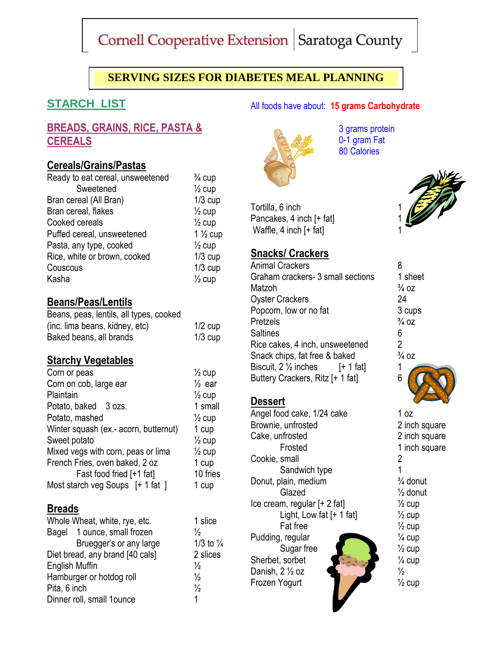# Cornell Cooperative Extension | Saratoga County

# **SERVING SIZES FOR DIABETES MEAL PLANNING**

# **STARCH LIST**

## **BREADS, GRAINS, RICE, PASTA & CEREALS**

#### **Cereals/Grains/Pastas**

| Ready to eat cereal, unsweetened | $\frac{3}{4}$ cup  |
|----------------------------------|--------------------|
| Sweetened                        | $\frac{1}{2}$ cup  |
| Bran cereal (All Bran)           | $1/3$ cup          |
| Bran cereal, flakes              | $\frac{1}{2}$ cup  |
| Cooked cereals                   | $\frac{1}{2}$ cup  |
| Puffed cereal, unsweetened       | $1\frac{1}{2}$ cup |
| Pasta, any type, cooked          | $\frac{1}{2}$ cup  |
| Rice, white or brown, cooked     | $1/3$ cup          |
| Couscous                         | $1/3$ cup          |
| Kasha                            | $\frac{1}{2}$ cup  |

#### **Beans/Peas/Lentils**

| Beans, peas, lentils, all types, cooked |           |
|-----------------------------------------|-----------|
| (inc. lima beans, kidney, etc)          | $1/2$ cup |
| Baked beans, all brands                 | $1/3$ cup |

#### **Starchy Vegetables**

| Corn or peas                          | $\frac{1}{2}$ cup |
|---------------------------------------|-------------------|
| Corn on cob, large ear                | $\frac{1}{2}$ ear |
| Plaintain                             | $\frac{1}{2}$ cup |
| Potato, baked 3 ozs.                  | 1 small           |
| Potato, mashed                        | $\frac{1}{2}$ cup |
| Winter squash (ex.- acorn, butternut) | 1 cup             |
| Sweet potato                          | $\frac{1}{2}$ cup |
| Mixed vegs with corn, peas or lima    | $\frac{1}{2}$ cup |
| French Fries, oven baked, 2 oz        | 1 cup             |
| Fast food fried [+1 fat]              | 10 fries          |
| Most starch veg Soups [+ 1 fat ]      | 1 cup             |

#### **Breads**

| Whole Wheat, white, rye, etc.   |                      |
|---------------------------------|----------------------|
| Bagel 1 ounce, small frozen     | $\frac{1}{2}$        |
| Bruegger's or any large         | 1/                   |
| Diet bread, any brand [40 cals] | $\mathbf{2}^{\circ}$ |
| <b>English Muffin</b>           | $\frac{1}{2}$        |
| Hamburger or hotdog roll        | $\frac{1}{2}$        |
| Pita, 6 inch                    | $\frac{1}{2}$        |
| Dinner roll, small 1ounce       | 1.                   |

3 grams protein 0-1 gram Fat 80 Calories

All foods have about: **15 grams Carbohydrate**



# **Snacks/ Crackers**

Animal Crackers 8 Graham crackers- 3 small sections Matzoh Oyster Crackers Popcorn, low or no fat Pretzels **Saltines** Rice cakes, 4 inch, unsweetened Snack chips, fat free & baked Biscuit,  $2 \frac{1}{2}$  inches [+ 1 fat] Buttery Crackers, Ritz [+ 1 fat]

#### **Dessert**

1 slice

1/3 to  $\frac{1}{4}$ 2 slices

Angel food cake, 1/24 cake 1 oz Brownie, unfrosted 2 inch square Cake, unfrosted 2 inch square Frosted 1 inch square Cookie, small 2 Sandwich type 1 Donut, plain, medium <sup>3/4</sup> donut Glazed ½ donut Ice cream, regular  $[+ 2 \text{ fat}]$  /2 cup Light, Low fat  $[+ 1$  fat]  $\frac{1}{2}$  cup Fat free  $\frac{1}{2}$  cup Pudding, regular  $\frac{1}{4}$  cup Sugar free  $\sqrt{2}$   $\sqrt{2}$  cup Sherbet, sorbet  $\sqrt{2}$   $\sqrt{2}$   $\sqrt{4}$  cup Danish,  $2\frac{1}{2}$  oz  $\frac{1}{2}$   $\frac{1}{2}$ Frozen Yogurt 1/2 cup



| 1 sheet          |
|------------------|
| $\frac{3}{4}$ OZ |
| 24               |
| 3 cups           |
| $\frac{3}{4}$ OZ |
| 6                |
| $\overline{2}$   |
| $\frac{3}{4}$ OZ |
| 1                |
| 6                |
|                  |
|                  |
|                  |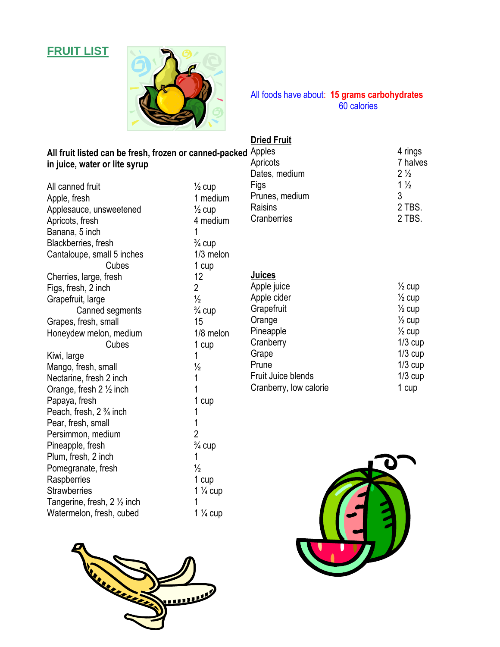# **FRUIT LIST**



All foods have about: **15 grams carbohydrates** 60 calories

## **Dried Fruit**

| All fruit listed can be fresh, frozen or canned-packed Apples<br>in juice, water or lite syrup |                     | Apricots<br>Dates, medium | 4 rings<br>7 halves<br>$2\frac{1}{2}$ |
|------------------------------------------------------------------------------------------------|---------------------|---------------------------|---------------------------------------|
| All canned fruit                                                                               | $\frac{1}{2}$ cup   | Figs                      | $1\frac{1}{2}$                        |
| Apple, fresh                                                                                   | 1 medium            | Prunes, medium            | 3                                     |
| Applesauce, unsweetened                                                                        | $\frac{1}{2}$ cup   | Raisins                   | 2 TBS.                                |
| Apricots, fresh                                                                                | 4 medium            | Cranberries               | 2 TBS.                                |
| Banana, 5 inch                                                                                 | 1                   |                           |                                       |
| Blackberries, fresh                                                                            | $\frac{3}{4}$ cup   |                           |                                       |
| Cantaloupe, small 5 inches                                                                     | $1/3$ melon         |                           |                                       |
| Cubes                                                                                          | 1 cup               |                           |                                       |
| Cherries, large, fresh                                                                         | 12                  | Juices                    |                                       |
| Figs, fresh, 2 inch                                                                            | $\overline{2}$      | Apple juice               | $\frac{1}{2}$ cup                     |
| Grapefruit, large                                                                              | $\frac{1}{2}$       | Apple cider               | $\frac{1}{2}$ cup                     |
| Canned segments                                                                                | $\frac{3}{4}$ cup   | Grapefruit                | $\frac{1}{2}$ cup                     |
| Grapes, fresh, small                                                                           | 15                  | Orange                    | $\frac{1}{2}$ cup                     |
| Honeydew melon, medium                                                                         | 1/8 melon           | Pineapple                 | $\frac{1}{2}$ cup                     |
| Cubes                                                                                          | 1 cup               | Cranberry                 | $1/3$ cup                             |
| Kiwi, large                                                                                    | 1                   | Grape                     | $1/3$ cup                             |
| Mango, fresh, small                                                                            | $\frac{1}{2}$       | Prune                     | $1/3$ cup                             |
| Nectarine, fresh 2 inch                                                                        | 1                   | Fruit Juice blends        | $1/3$ cup                             |
| Orange, fresh $2 \frac{1}{2}$ inch                                                             | 1                   | Cranberry, low calorie    | 1 cup                                 |
| Papaya, fresh                                                                                  | 1 cup               |                           |                                       |
| Peach, fresh, 2 <sup>3</sup> / <sub>4</sub> inch                                               | 1                   |                           |                                       |
| Pear, fresh, small                                                                             | 1                   |                           |                                       |
| Persimmon, medium                                                                              | $\overline{2}$      |                           |                                       |
| Pineapple, fresh                                                                               | $\frac{3}{4}$ cup   |                           |                                       |
| Plum, fresh, 2 inch                                                                            | 1                   |                           |                                       |
| Pomegranate, fresh                                                                             | $\frac{1}{2}$       |                           |                                       |
| Raspberries                                                                                    | 1 cup               |                           |                                       |
| <b>Strawberries</b>                                                                            | 1 $\frac{1}{4}$ cup |                           |                                       |
| Tangerine, fresh, 2 1/2 inch                                                                   |                     |                           |                                       |
| Watermelon, fresh, cubed                                                                       | $1\frac{1}{4}$ cup  |                           |                                       |



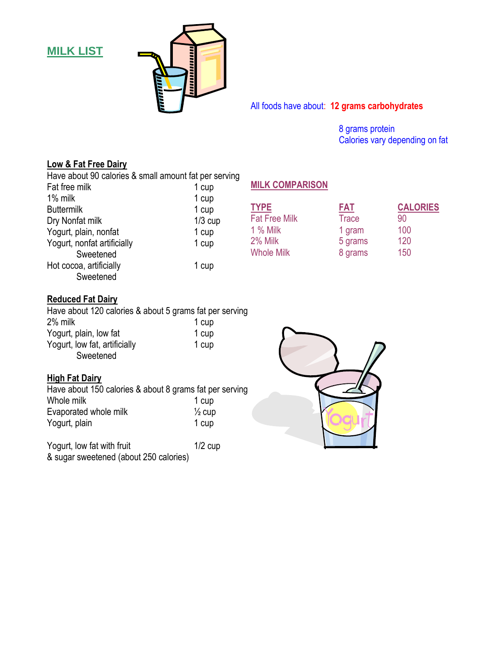**MILK LIST**



All foods have about: **12 grams carbohydrates**

8 grams protein Calories vary depending on fat

#### **Low & Fat Free Dairy**

Have about 90 calories & small amount fat per serving

| Fat free milk               | 1 cup     |
|-----------------------------|-----------|
| 1% milk                     | 1 cup     |
| <b>Buttermilk</b>           | 1 cup     |
| Dry Nonfat milk             | $1/3$ cup |
| Yogurt, plain, nonfat       | 1 cup     |
| Yogurt, nonfat artificially | 1 cup     |
| Sweetened                   |           |
| Hot cocoa, artificially     | 1 cup     |
| Sweetened                   |           |

#### **MILK COMPARISON**

| <b>FAT</b>   | <b>CALORIES</b> |
|--------------|-----------------|
| <b>Trace</b> | 90              |
| 1 gram       | 100             |
| 5 grams      | 120             |
| 8 grams      | 150             |
|              |                 |

#### **Reduced Fat Dairy**

Have about 120 calories & about 5 grams fat per serving 2% milk 1 cup<br>Yoqurt, plain, low fat 1 cup Yogurt, plain, low fat Yogurt, low fat, artificially 1 cup Sweetened

#### **High Fat Dairy**

Have about 150 calories & about 8 grams fat per serving Whole milk  $1$  cup<br>Evaporated whole milk  $\frac{1}{2}$  cup Evaporated whole milk Yogurt, plain 1 cup

Yogurt, low fat with fruit 1/2 cup & sugar sweetened (about 250 calories)